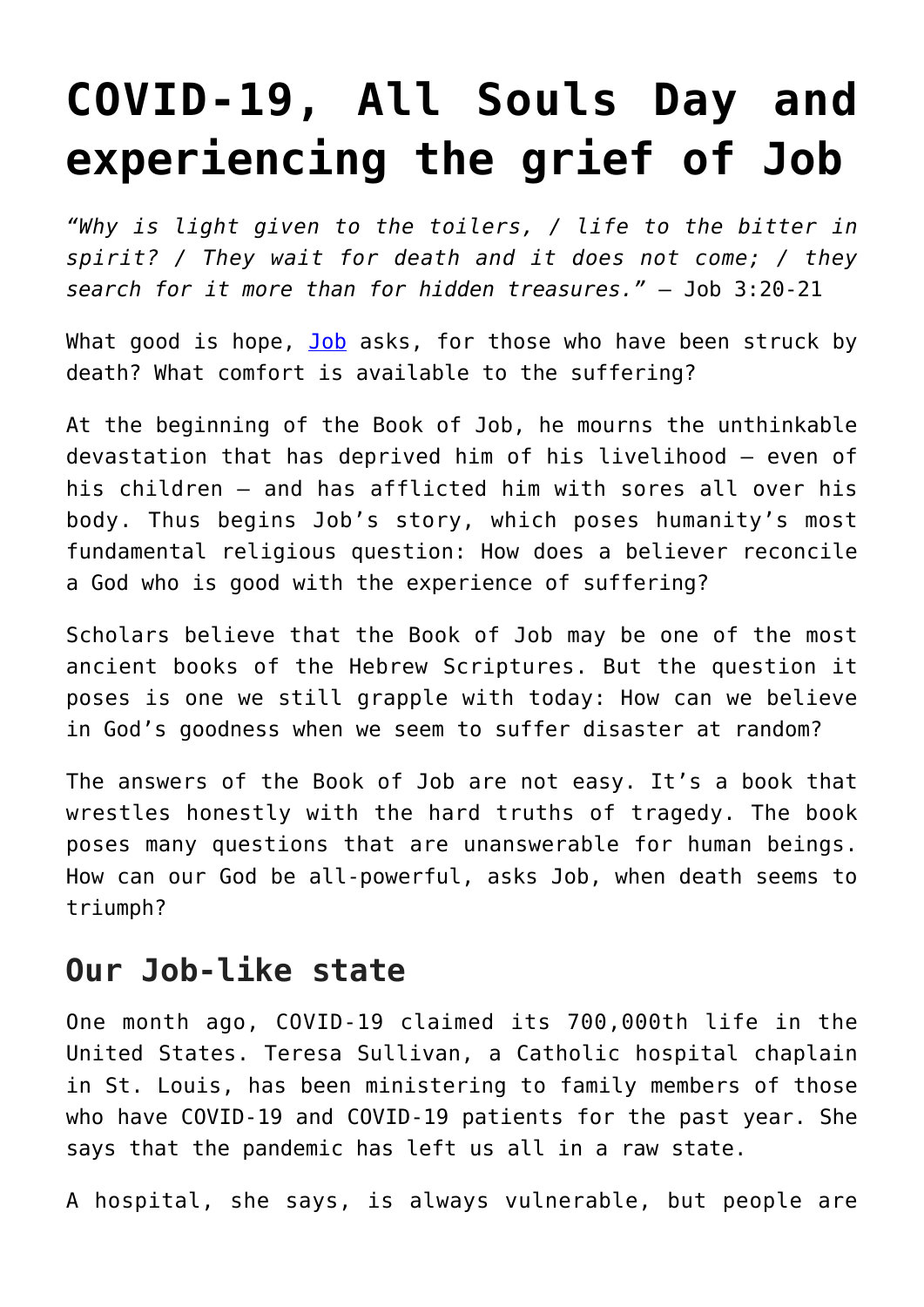## **[COVID-19, All Souls Day and](https://www.osvnews.com/2021/10/15/covid-19-all-souls-day-and-experiencing-the-grief-of-job/) [experiencing the grief of Job](https://www.osvnews.com/2021/10/15/covid-19-all-souls-day-and-experiencing-the-grief-of-job/)**

*"Why is light given to the toilers, / life to the bitter in spirit? / They wait for death and it does not come; / they search for it more than for hidden treasures."* — Job 3:20-21

What good is hope, [Job](https://www.osvnews.com/2021/02/01/opening-the-word-jobs-folly/) asks, for those who have been struck by death? What comfort is available to the suffering?

At the beginning of the Book of Job, he mourns the unthinkable devastation that has deprived him of his livelihood — even of his children — and has afflicted him with sores all over his body. Thus begins Job's story, which poses humanity's most fundamental religious question: How does a believer reconcile a God who is good with the experience of suffering?

Scholars believe that the Book of Job may be one of the most ancient books of the Hebrew Scriptures. But the question it poses is one we still grapple with today: How can we believe in God's goodness when we seem to suffer disaster at random?

The answers of the Book of Job are not easy. It's a book that wrestles honestly with the hard truths of tragedy. The book poses many questions that are unanswerable for human beings. How can our God be all-powerful, asks Job, when death seems to triumph?

## **Our Job-like state**

One month ago, COVID-19 claimed its 700,000th life in the United States. Teresa Sullivan, a Catholic hospital chaplain in St. Louis, has been ministering to family members of those who have COVID-19 and COVID-19 patients for the past year. She says that the pandemic has left us all in a raw state.

A hospital, she says, is always vulnerable, but people are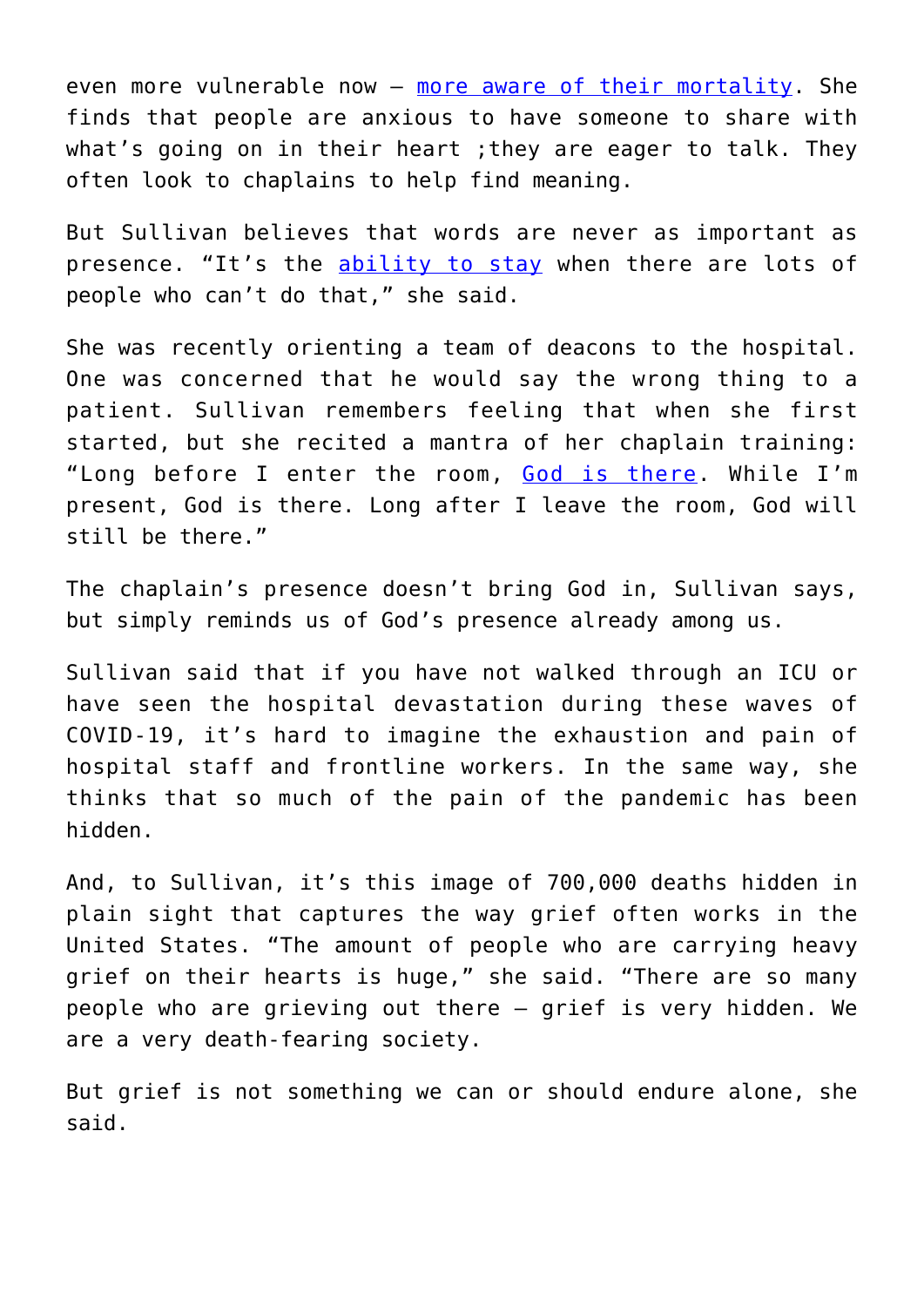even more vulnerable now — [more aware of their mortality](https://www.osvnews.com/2020/05/05/conquering-coronavirus-new-book-helps-readers-focus-on-faith-during-the-pandemic/). She finds that people are anxious to have someone to share with what's going on in their heart ;they are eager to talk. They often look to chaplains to help find meaning.

But Sullivan believes that words are never as important as presence. "It's the [ability to stay](https://www.osvnews.com/2021/09/30/when-you-care-for-the-sick-you-care-for-christ/) when there are lots of people who can't do that," she said.

She was recently orienting a team of deacons to the hospital. One was concerned that he would say the wrong thing to a patient. Sullivan remembers feeling that when she first started, but she recited a mantra of her chaplain training: "Long before I enter the room, [God is there.](https://www.osvnews.com/2021/05/18/washington-cardinal-leads-worldwide-rosary-for-end-to-covid-19-pandemic/) While I'm present, God is there. Long after I leave the room, God will still be there."

The chaplain's presence doesn't bring God in, Sullivan says, but simply reminds us of God's presence already among us.

Sullivan said that if you have not walked through an ICU or have seen the hospital devastation during these waves of COVID-19, it's hard to imagine the exhaustion and pain of hospital staff and frontline workers. In the same way, she thinks that so much of the pain of the pandemic has been hidden.

And, to Sullivan, it's this image of 700,000 deaths hidden in plain sight that captures the way grief often works in the United States. "The amount of people who are carrying heavy grief on their hearts is huge," she said. "There are so many people who are grieving out there — grief is very hidden. We are a very death-fearing society.

But grief is not something we can or should endure alone, she said.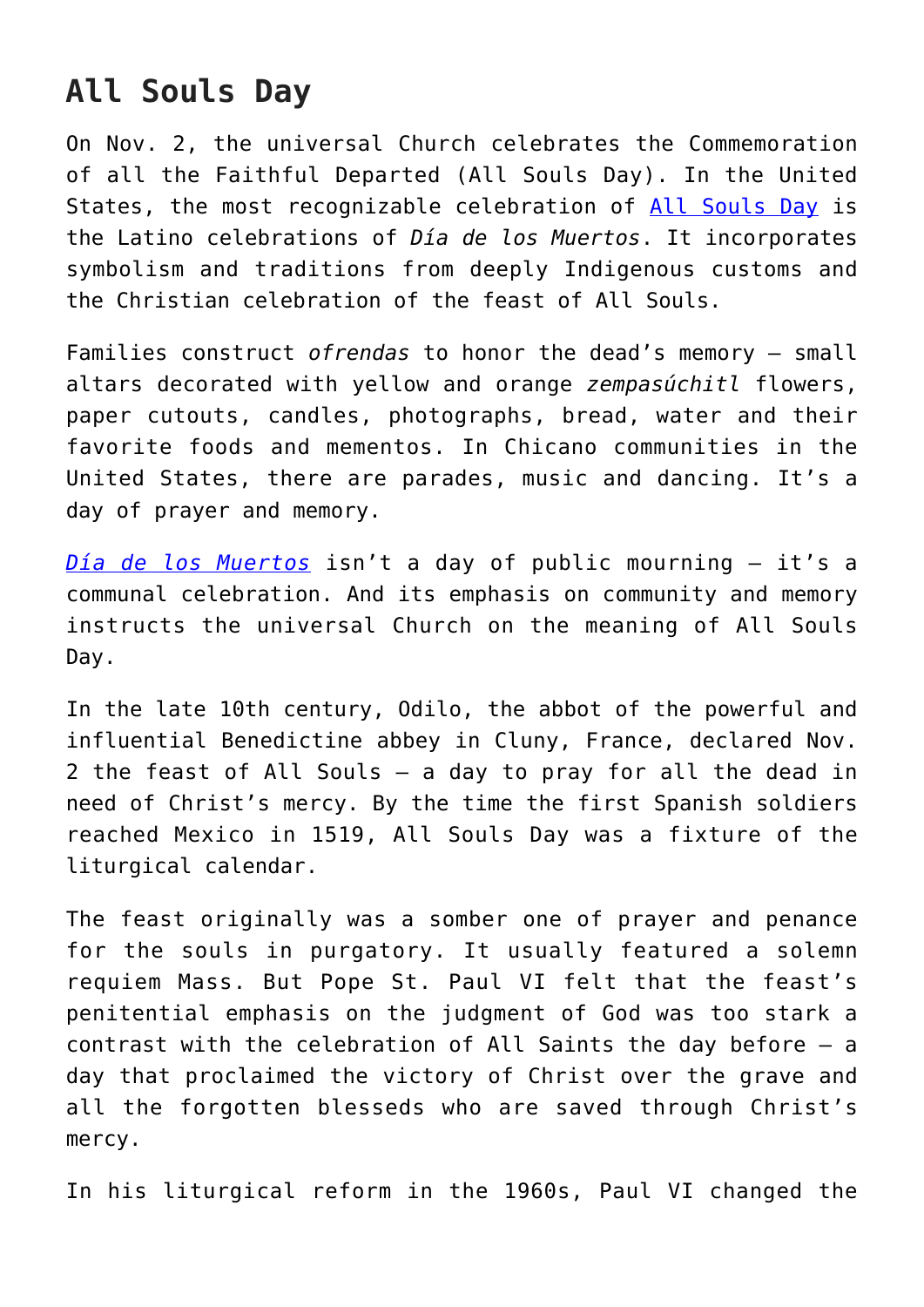## **All Souls Day**

On Nov. 2, the universal Church celebrates the Commemoration of all the Faithful Departed (All Souls Day). In the United States, the most recognizable celebration of [All Souls Day](https://www.osvnews.com/2020/11/02/hope-is-gift-to-seek-from-god-pope-says-on-all-souls-feast/) is the Latino celebrations of *Día de los Muertos*. It incorporates symbolism and traditions from deeply Indigenous customs and the Christian celebration of the feast of All Souls.

Families construct *ofrendas* to honor the dead's memory — small altars decorated with yellow and orange *zempasúchitl* flowers, paper cutouts, candles, photographs, bread, water and their favorite foods and mementos. In Chicano communities in the United States, there are parades, music and dancing. It's a day of prayer and memory.

*[Día de los Muertos](https://www.osvnews.com/2020/11/03/l-a-archbishop-prays-for-covid-19-victims-at-dia-de-los-muertos-vigil/)* isn't a day of public mourning — it's a communal celebration. And its emphasis on community and memory instructs the universal Church on the meaning of All Souls Day.

In the late 10th century, Odilo, the abbot of the powerful and influential Benedictine abbey in Cluny, France, declared Nov. 2 the feast of All Souls — a day to pray for all the dead in need of Christ's mercy. By the time the first Spanish soldiers reached Mexico in 1519, All Souls Day was a fixture of the liturgical calendar.

The feast originally was a somber one of prayer and penance for the souls in purgatory. It usually featured a solemn requiem Mass. But Pope St. Paul VI felt that the feast's penitential emphasis on the judgment of God was too stark a contrast with the celebration of All Saints the day before — a day that proclaimed the victory of Christ over the grave and all the forgotten blesseds who are saved through Christ's mercy.

In his liturgical reform in the 1960s, Paul VI changed the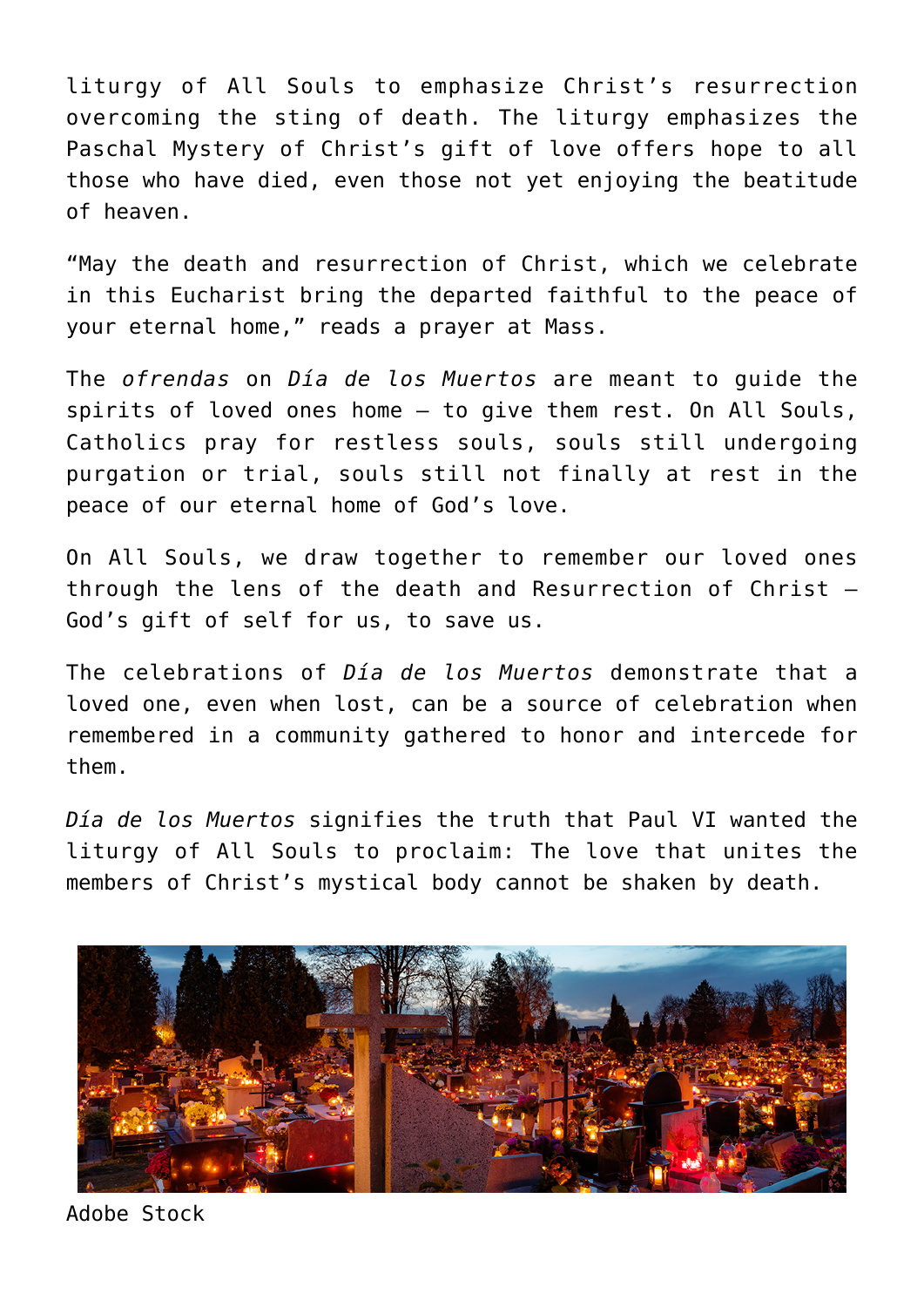liturgy of All Souls to emphasize Christ's resurrection overcoming the sting of death. The liturgy emphasizes the Paschal Mystery of Christ's gift of love offers hope to all those who have died, even those not yet enjoying the beatitude of heaven.

"May the death and resurrection of Christ, which we celebrate in this Eucharist bring the departed faithful to the peace of your eternal home," reads a prayer at Mass.

The *ofrendas* on *Día de los Muertos* are meant to guide the spirits of loved ones home — to give them rest. On All Souls, Catholics pray for restless souls, souls still undergoing purgation or trial, souls still not finally at rest in the peace of our eternal home of God's love.

On All Souls, we draw together to remember our loved ones through the lens of the death and Resurrection of Christ — God's gift of self for us, to save us.

The celebrations of *Día de los Muertos* demonstrate that a loved one, even when lost, can be a source of celebration when remembered in a community gathered to honor and intercede for them.

*Día de los Muertos* signifies the truth that Paul VI wanted the liturgy of All Souls to proclaim: The love that unites the members of Christ's mystical body cannot be shaken by death.



Adobe Stock